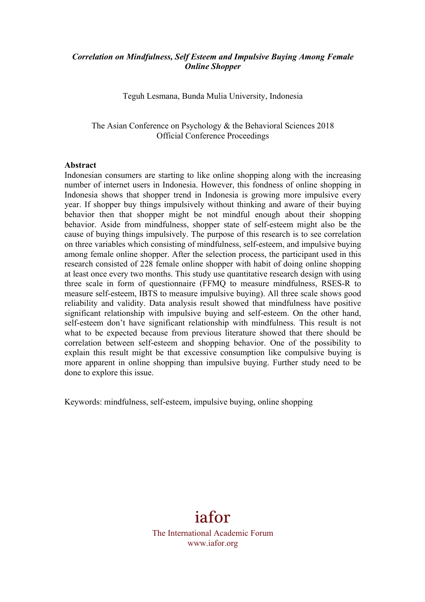## *Correlation on Mindfulness, Self Esteem and Impulsive Buying Among Female Online Shopper*

Teguh Lesmana, Bunda Mulia University, Indonesia

The Asian Conference on Psychology & the Behavioral Sciences 2018 Official Conference Proceedings

#### **Abstract**

Indonesian consumers are starting to like online shopping along with the increasing number of internet users in Indonesia. However, this fondness of online shopping in Indonesia shows that shopper trend in Indonesia is growing more impulsive every year. If shopper buy things impulsively without thinking and aware of their buying behavior then that shopper might be not mindful enough about their shopping behavior. Aside from mindfulness, shopper state of self-esteem might also be the cause of buying things impulsively. The purpose of this research is to see correlation on three variables which consisting of mindfulness, self-esteem, and impulsive buying among female online shopper. After the selection process, the participant used in this research consisted of 228 female online shopper with habit of doing online shopping at least once every two months. This study use quantitative research design with using three scale in form of questionnaire (FFMQ to measure mindfulness, RSES-R to measure self-esteem, IBTS to measure impulsive buying). All three scale shows good reliability and validity. Data analysis result showed that mindfulness have positive significant relationship with impulsive buying and self-esteem. On the other hand, self-esteem don't have significant relationship with mindfulness. This result is not what to be expected because from previous literature showed that there should be correlation between self-esteem and shopping behavior. One of the possibility to explain this result might be that excessive consumption like compulsive buying is more apparent in online shopping than impulsive buying. Further study need to be done to explore this issue.

Keywords: mindfulness, self-esteem, impulsive buying, online shopping

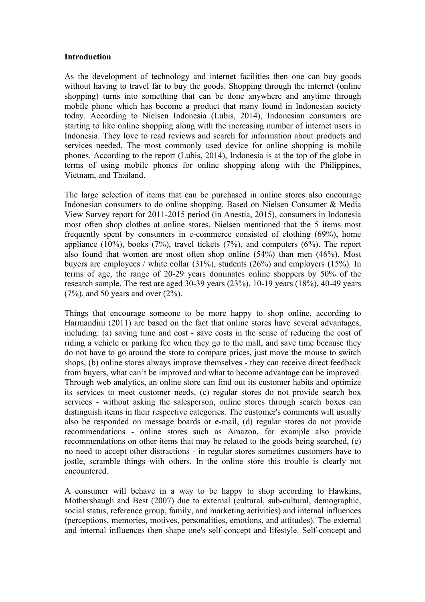## **Introduction**

As the development of technology and internet facilities then one can buy goods without having to travel far to buy the goods. Shopping through the internet (online shopping) turns into something that can be done anywhere and anytime through mobile phone which has become a product that many found in Indonesian society today. According to Nielsen Indonesia (Lubis, 2014), Indonesian consumers are starting to like online shopping along with the increasing number of internet users in Indonesia. They love to read reviews and search for information about products and services needed. The most commonly used device for online shopping is mobile phones. According to the report (Lubis, 2014), Indonesia is at the top of the globe in terms of using mobile phones for online shopping along with the Philippines, Vietnam, and Thailand.

The large selection of items that can be purchased in online stores also encourage Indonesian consumers to do online shopping. Based on Nielsen Consumer & Media View Survey report for 2011-2015 period (in Anestia, 2015), consumers in Indonesia most often shop clothes at online stores. Nielsen mentioned that the 5 items most frequently spent by consumers in e-commerce consisted of clothing (69%), home appliance  $(10\%)$ , books  $(7\%)$ , travel tickets  $(7\%)$ , and computers  $(6\%)$ . The report also found that women are most often shop online (54%) than men (46%). Most buyers are employees / white collar (31%), students (26%) and employers (15%). In terms of age, the range of 20-29 years dominates online shoppers by 50% of the research sample. The rest are aged 30-39 years (23%), 10-19 years (18%), 40-49 years  $(7%)$ , and 50 years and over  $(2%)$ .

Things that encourage someone to be more happy to shop online, according to Harmandini (2011) are based on the fact that online stores have several advantages, including: (a) saving time and cost - save costs in the sense of reducing the cost of riding a vehicle or parking fee when they go to the mall, and save time because they do not have to go around the store to compare prices, just move the mouse to switch shops, (b) online stores always improve themselves - they can receive direct feedback from buyers, what can't be improved and what to become advantage can be improved. Through web analytics, an online store can find out its customer habits and optimize its services to meet customer needs, (c) regular stores do not provide search box services - without asking the salesperson, online stores through search boxes can distinguish items in their respective categories. The customer's comments will usually also be responded on message boards or e-mail, (d) regular stores do not provide recommendations - online stores such as Amazon, for example also provide recommendations on other items that may be related to the goods being searched, (e) no need to accept other distractions - in regular stores sometimes customers have to jostle, scramble things with others. In the online store this trouble is clearly not encountered.

A consumer will behave in a way to be happy to shop according to Hawkins, Mothersbaugh and Best (2007) due to external (cultural, sub-cultural, demographic, social status, reference group, family, and marketing activities) and internal influences (perceptions, memories, motives, personalities, emotions, and attitudes). The external and internal influences then shape one's self-concept and lifestyle. Self-concept and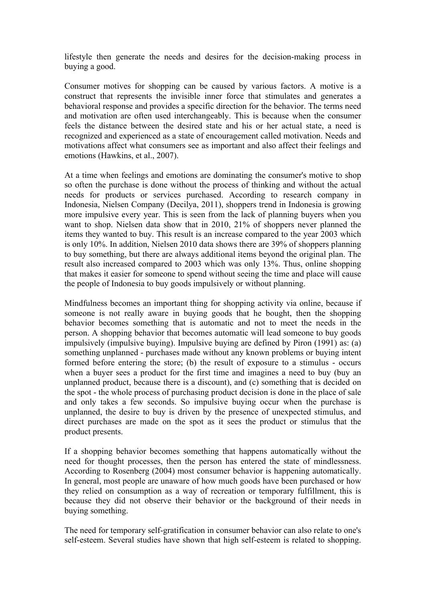lifestyle then generate the needs and desires for the decision-making process in buying a good.

Consumer motives for shopping can be caused by various factors. A motive is a construct that represents the invisible inner force that stimulates and generates a behavioral response and provides a specific direction for the behavior. The terms need and motivation are often used interchangeably. This is because when the consumer feels the distance between the desired state and his or her actual state, a need is recognized and experienced as a state of encouragement called motivation. Needs and motivations affect what consumers see as important and also affect their feelings and emotions (Hawkins, et al., 2007).

At a time when feelings and emotions are dominating the consumer's motive to shop so often the purchase is done without the process of thinking and without the actual needs for products or services purchased. According to research company in Indonesia, Nielsen Company (Decilya, 2011), shoppers trend in Indonesia is growing more impulsive every year. This is seen from the lack of planning buyers when you want to shop. Nielsen data show that in 2010, 21% of shoppers never planned the items they wanted to buy. This result is an increase compared to the year 2003 which is only 10%. In addition, Nielsen 2010 data shows there are 39% of shoppers planning to buy something, but there are always additional items beyond the original plan. The result also increased compared to 2003 which was only 13%. Thus, online shopping that makes it easier for someone to spend without seeing the time and place will cause the people of Indonesia to buy goods impulsively or without planning.

Mindfulness becomes an important thing for shopping activity via online, because if someone is not really aware in buying goods that he bought, then the shopping behavior becomes something that is automatic and not to meet the needs in the person. A shopping behavior that becomes automatic will lead someone to buy goods impulsively (impulsive buying). Impulsive buying are defined by Piron (1991) as: (a) something unplanned - purchases made without any known problems or buying intent formed before entering the store; (b) the result of exposure to a stimulus - occurs when a buyer sees a product for the first time and imagines a need to buy (buy an unplanned product, because there is a discount), and (c) something that is decided on the spot - the whole process of purchasing product decision is done in the place of sale and only takes a few seconds. So impulsive buying occur when the purchase is unplanned, the desire to buy is driven by the presence of unexpected stimulus, and direct purchases are made on the spot as it sees the product or stimulus that the product presents.

If a shopping behavior becomes something that happens automatically without the need for thought processes, then the person has entered the state of mindlessness. According to Rosenberg (2004) most consumer behavior is happening automatically. In general, most people are unaware of how much goods have been purchased or how they relied on consumption as a way of recreation or temporary fulfillment, this is because they did not observe their behavior or the background of their needs in buying something.

The need for temporary self-gratification in consumer behavior can also relate to one's self-esteem. Several studies have shown that high self-esteem is related to shopping.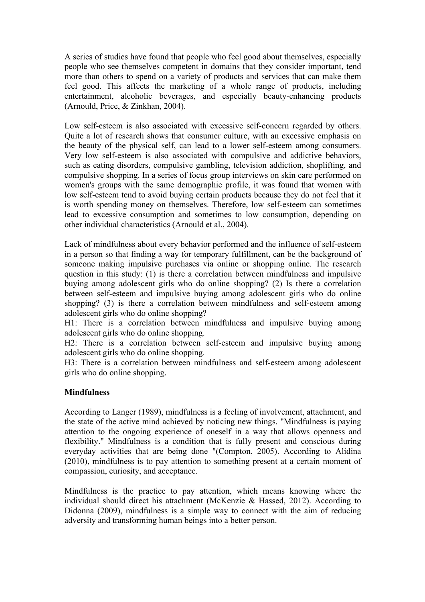A series of studies have found that people who feel good about themselves, especially people who see themselves competent in domains that they consider important, tend more than others to spend on a variety of products and services that can make them feel good. This affects the marketing of a whole range of products, including entertainment, alcoholic beverages, and especially beauty-enhancing products (Arnould, Price, & Zinkhan, 2004).

Low self-esteem is also associated with excessive self-concern regarded by others. Quite a lot of research shows that consumer culture, with an excessive emphasis on the beauty of the physical self, can lead to a lower self-esteem among consumers. Very low self-esteem is also associated with compulsive and addictive behaviors, such as eating disorders, compulsive gambling, television addiction, shoplifting, and compulsive shopping. In a series of focus group interviews on skin care performed on women's groups with the same demographic profile, it was found that women with low self-esteem tend to avoid buying certain products because they do not feel that it is worth spending money on themselves. Therefore, low self-esteem can sometimes lead to excessive consumption and sometimes to low consumption, depending on other individual characteristics (Arnould et al., 2004).

Lack of mindfulness about every behavior performed and the influence of self-esteem in a person so that finding a way for temporary fulfillment, can be the background of someone making impulsive purchases via online or shopping online. The research question in this study: (1) is there a correlation between mindfulness and impulsive buying among adolescent girls who do online shopping? (2) Is there a correlation between self-esteem and impulsive buying among adolescent girls who do online shopping? (3) is there a correlation between mindfulness and self-esteem among adolescent girls who do online shopping?

H1: There is a correlation between mindfulness and impulsive buying among adolescent girls who do online shopping.

H2: There is a correlation between self-esteem and impulsive buying among adolescent girls who do online shopping.

H3: There is a correlation between mindfulness and self-esteem among adolescent girls who do online shopping.

## **Mindfulness**

According to Langer (1989), mindfulness is a feeling of involvement, attachment, and the state of the active mind achieved by noticing new things. "Mindfulness is paying attention to the ongoing experience of oneself in a way that allows openness and flexibility." Mindfulness is a condition that is fully present and conscious during everyday activities that are being done "(Compton, 2005). According to Alidina (2010), mindfulness is to pay attention to something present at a certain moment of compassion, curiosity, and acceptance.

Mindfulness is the practice to pay attention, which means knowing where the individual should direct his attachment (McKenzie & Hassed, 2012). According to Didonna (2009), mindfulness is a simple way to connect with the aim of reducing adversity and transforming human beings into a better person.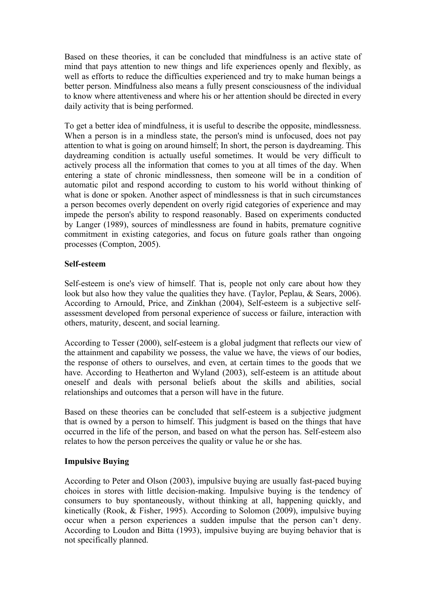Based on these theories, it can be concluded that mindfulness is an active state of mind that pays attention to new things and life experiences openly and flexibly, as well as efforts to reduce the difficulties experienced and try to make human beings a better person. Mindfulness also means a fully present consciousness of the individual to know where attentiveness and where his or her attention should be directed in every daily activity that is being performed.

To get a better idea of mindfulness, it is useful to describe the opposite, mindlessness. When a person is in a mindless state, the person's mind is unfocused, does not pay attention to what is going on around himself; In short, the person is daydreaming. This daydreaming condition is actually useful sometimes. It would be very difficult to actively process all the information that comes to you at all times of the day. When entering a state of chronic mindlessness, then someone will be in a condition of automatic pilot and respond according to custom to his world without thinking of what is done or spoken. Another aspect of mindlessness is that in such circumstances a person becomes overly dependent on overly rigid categories of experience and may impede the person's ability to respond reasonably. Based on experiments conducted by Langer (1989), sources of mindlessness are found in habits, premature cognitive commitment in existing categories, and focus on future goals rather than ongoing processes (Compton, 2005).

## **Self-esteem**

Self-esteem is one's view of himself. That is, people not only care about how they look but also how they value the qualities they have. (Taylor, Peplau, & Sears, 2006). According to Arnould, Price, and Zinkhan (2004), Self-esteem is a subjective selfassessment developed from personal experience of success or failure, interaction with others, maturity, descent, and social learning.

According to Tesser (2000), self-esteem is a global judgment that reflects our view of the attainment and capability we possess, the value we have, the views of our bodies, the response of others to ourselves, and even, at certain times to the goods that we have. According to Heatherton and Wyland (2003), self-esteem is an attitude about oneself and deals with personal beliefs about the skills and abilities, social relationships and outcomes that a person will have in the future.

Based on these theories can be concluded that self-esteem is a subjective judgment that is owned by a person to himself. This judgment is based on the things that have occurred in the life of the person, and based on what the person has. Self-esteem also relates to how the person perceives the quality or value he or she has.

# **Impulsive Buying**

According to Peter and Olson (2003), impulsive buying are usually fast-paced buying choices in stores with little decision-making. Impulsive buying is the tendency of consumers to buy spontaneously, without thinking at all, happening quickly, and kinetically (Rook, & Fisher, 1995). According to Solomon (2009), impulsive buying occur when a person experiences a sudden impulse that the person can't deny. According to Loudon and Bitta (1993), impulsive buying are buying behavior that is not specifically planned.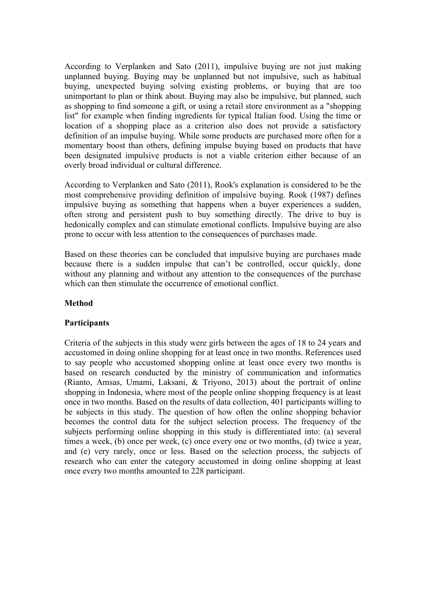According to Verplanken and Sato (2011), impulsive buying are not just making unplanned buying. Buying may be unplanned but not impulsive, such as habitual buying, unexpected buying solving existing problems, or buying that are too unimportant to plan or think about. Buying may also be impulsive, but planned, such as shopping to find someone a gift, or using a retail store environment as a "shopping list" for example when finding ingredients for typical Italian food. Using the time or location of a shopping place as a criterion also does not provide a satisfactory definition of an impulse buying. While some products are purchased more often for a momentary boost than others, defining impulse buying based on products that have been designated impulsive products is not a viable criterion either because of an overly broad individual or cultural difference.

According to Verplanken and Sato (2011), Rook's explanation is considered to be the most comprehensive providing definition of impulsive buying. Rook (1987) defines impulsive buying as something that happens when a buyer experiences a sudden, often strong and persistent push to buy something directly. The drive to buy is hedonically complex and can stimulate emotional conflicts. Impulsive buying are also prone to occur with less attention to the consequences of purchases made.

Based on these theories can be concluded that impulsive buying are purchases made because there is a sudden impulse that can't be controlled, occur quickly, done without any planning and without any attention to the consequences of the purchase which can then stimulate the occurrence of emotional conflict.

## **Method**

## **Participants**

Criteria of the subjects in this study were girls between the ages of 18 to 24 years and accustomed in doing online shopping for at least once in two months. References used to say people who accustomed shopping online at least once every two months is based on research conducted by the ministry of communication and informatics (Rianto, Amsas, Umami, Laksani, & Triyono, 2013) about the portrait of online shopping in Indonesia, where most of the people online shopping frequency is at least once in two months. Based on the results of data collection, 401 participants willing to be subjects in this study. The question of how often the online shopping behavior becomes the control data for the subject selection process. The frequency of the subjects performing online shopping in this study is differentiated into: (a) several times a week, (b) once per week, (c) once every one or two months, (d) twice a year, and (e) very rarely, once or less. Based on the selection process, the subjects of research who can enter the category accustomed in doing online shopping at least once every two months amounted to 228 participant.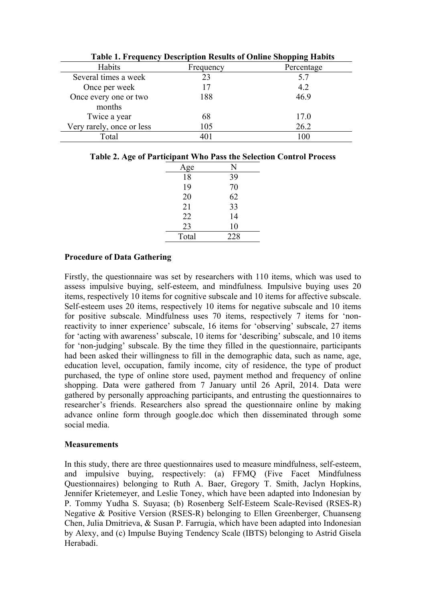| Table 1. Frequency Description Results of Online Shopping Habits |           |            |  |  |
|------------------------------------------------------------------|-----------|------------|--|--|
| Habits                                                           | Frequency | Percentage |  |  |
| Several times a week                                             | 23        | 5.7        |  |  |
| Once per week                                                    |           | 4.2        |  |  |
| Once every one or two                                            | 188       | 46.9       |  |  |
| months                                                           |           |            |  |  |
| Twice a year                                                     | 68        | 17.0       |  |  |
| Very rarely, once or less                                        | 105       | 26.2       |  |  |
| Total                                                            | 401       | 100        |  |  |

|  | <b>Table 1. Frequency Description Results of Online Shopping Habits</b> |
|--|-------------------------------------------------------------------------|
|  |                                                                         |

| Table 2. Age of Participant Who Pass the Selection Control Process |  |  |  |  |  |
|--------------------------------------------------------------------|--|--|--|--|--|
|--------------------------------------------------------------------|--|--|--|--|--|

| Age   | N   |
|-------|-----|
| 18    | 39  |
| 19    | 70  |
| 20    | 62  |
| 21    | 33  |
| 22    | 14  |
| 23    | 10  |
| Total | 228 |
|       |     |

# **Procedure of Data Gathering**

Firstly, the questionnaire was set by researchers with 110 items, which was used to assess impulsive buying, self-esteem, and mindfulness*.* Impulsive buying uses 20 items, respectively 10 items for cognitive subscale and 10 items for affective subscale. Self-esteem uses 20 items, respectively 10 items for negative subscale and 10 items for positive subscale. Mindfulness uses 70 items, respectively 7 items for 'nonreactivity to inner experience' subscale, 16 items for 'observing' subscale, 27 items for 'acting with awareness' subscale, 10 items for 'describing' subscale, and 10 items for 'non-judging' subscale. By the time they filled in the questionnaire, participants had been asked their willingness to fill in the demographic data, such as name, age, education level, occupation, family income, city of residence, the type of product purchased, the type of online store used, payment method and frequency of online shopping. Data were gathered from 7 January until 26 April, 2014. Data were gathered by personally approaching participants, and entrusting the questionnaires to researcher's friends. Researchers also spread the questionnaire online by making advance online form through google.doc which then disseminated through some social media.

## **Measurements**

In this study, there are three questionnaires used to measure mindfulness, self-esteem, and impulsive buying, respectively: (a) FFMQ (Five Facet Mindfulness Questionnaires) belonging to Ruth A. Baer, Gregory T. Smith, Jaclyn Hopkins, Jennifer Krietemeyer, and Leslie Toney, which have been adapted into Indonesian by P. Tommy Yudha S. Suyasa; (b) Rosenberg Self-Esteem Scale-Revised (RSES-R) Negative & Positive Version (RSES-R) belonging to Ellen Greenberger, Chuanseng Chen, Julia Dmitrieva, & Susan P. Farrugia, which have been adapted into Indonesian by Alexy, and (c) Impulse Buying Tendency Scale (IBTS) belonging to Astrid Gisela Herabadi.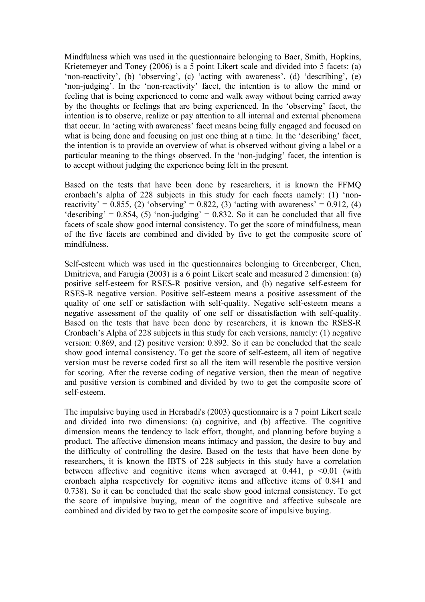Mindfulness which was used in the questionnaire belonging to Baer, Smith, Hopkins, Krietemeyer and Toney (2006) is a 5 point Likert scale and divided into 5 facets: (a) 'non-reactivity', (b) 'observing', (c) 'acting with awareness', (d) 'describing', (e) 'non-judging'. In the 'non-reactivity' facet, the intention is to allow the mind or feeling that is being experienced to come and walk away without being carried away by the thoughts or feelings that are being experienced. In the 'observing' facet, the intention is to observe, realize or pay attention to all internal and external phenomena that occur. In 'acting with awareness' facet means being fully engaged and focused on what is being done and focusing on just one thing at a time. In the 'describing' facet, the intention is to provide an overview of what is observed without giving a label or a particular meaning to the things observed. In the 'non-judging' facet, the intention is to accept without judging the experience being felt in the present.

Based on the tests that have been done by researchers, it is known the FFMQ cronbach's alpha of 228 subjects in this study for each facets namely: (1) 'nonreactivity' =  $0.855$ , (2) 'observing' =  $0.822$ , (3) 'acting with awareness' =  $0.912$ , (4) 'describing' =  $0.854$ , (5) 'non-judging' =  $0.832$ . So it can be concluded that all five facets of scale show good internal consistency. To get the score of mindfulness, mean of the five facets are combined and divided by five to get the composite score of mindfulness.

Self-esteem which was used in the questionnaires belonging to Greenberger, Chen, Dmitrieva, and Farugia (2003) is a 6 point Likert scale and measured 2 dimension: (a) positive self-esteem for RSES-R positive version, and (b) negative self-esteem for RSES-R negative version. Positive self-esteem means a positive assessment of the quality of one self or satisfaction with self-quality. Negative self-esteem means a negative assessment of the quality of one self or dissatisfaction with self-quality. Based on the tests that have been done by researchers, it is known the RSES-R Cronbach's Alpha of 228 subjects in this study for each versions, namely: (1) negative version: 0.869, and (2) positive version: 0.892. So it can be concluded that the scale show good internal consistency. To get the score of self-esteem, all item of negative version must be reverse coded first so all the item will resemble the positive version for scoring. After the reverse coding of negative version, then the mean of negative and positive version is combined and divided by two to get the composite score of self-esteem.

The impulsive buying used in Herabadi's (2003) questionnaire is a 7 point Likert scale and divided into two dimensions: (a) cognitive, and (b) affective. The cognitive dimension means the tendency to lack effort, thought, and planning before buying a product. The affective dimension means intimacy and passion, the desire to buy and the difficulty of controlling the desire. Based on the tests that have been done by researchers, it is known the IBTS of 228 subjects in this study have a correlation between affective and cognitive items when averaged at  $0.441$ ,  $p \le 0.01$  (with cronbach alpha respectively for cognitive items and affective items of 0.841 and 0.738). So it can be concluded that the scale show good internal consistency. To get the score of impulsive buying, mean of the cognitive and affective subscale are combined and divided by two to get the composite score of impulsive buying.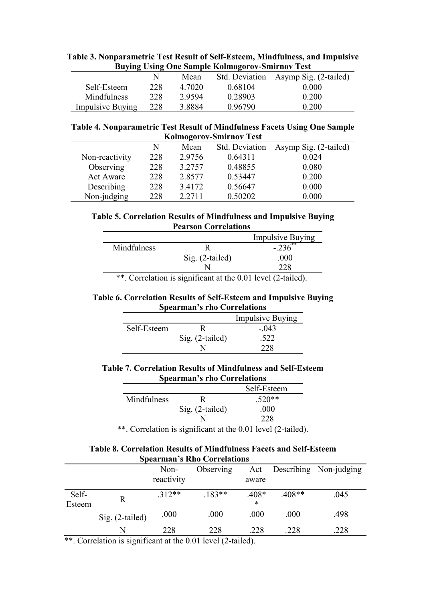| <b>DUVING USING ONE SAMPLE KOMMOZOTOV-SMITTHOV LEST</b> |     |        |         |                                      |  |
|---------------------------------------------------------|-----|--------|---------|--------------------------------------|--|
|                                                         |     | Mean   |         | Std. Deviation Asymp Sig. (2-tailed) |  |
| Self-Esteem                                             | 228 | 4.7020 | 0.68104 | 0.000                                |  |
| <b>Mindfulness</b>                                      | 228 | 2.9594 | 0.28903 | 0.200                                |  |
| <b>Impulsive Buying</b>                                 | 228 | 38884  | 0.96790 | 0.200                                |  |

## **Table 3. Nonparametric Test Result of Self-Esteem, Mindfulness, and Impulsive Buying Using One Sample Kolmogorov-Smirnov Test**

## **Table 4. Nonparametric Test Result of Mindfulness Facets Using One Sample Kolmogorov-Smirnov Test**

|                  | N   | Mean   | Std. Deviation | Asymp Sig. (2-tailed) |  |  |
|------------------|-----|--------|----------------|-----------------------|--|--|
| Non-reactivity   | 228 | 2.9756 | 0.64311        | 0.024                 |  |  |
| Observing        | 228 | 3.2757 | 0.48855        | 0.080                 |  |  |
| <b>Act Aware</b> | 228 | 2.8577 | 0.53447        | 0.200                 |  |  |
| Describing       | 228 | 3.4172 | 0.56647        | 0.000                 |  |  |
| Non-judging      | 228 | 2.2711 | 0.50202        | 0.000                 |  |  |

# **Table 5. Correlation Results of Mindfulness and Impulsive Buying Pearson Correlations**

|                   | <b>Impulsive Buying</b> |
|-------------------|-------------------------|
|                   | $22**$                  |
| $Sig. (2-tailed)$ | .000                    |
|                   | າາດ                     |
|                   |                         |

\*\*. Correlation is significant at the 0.01 level (2-tailed).

#### **Table 6. Correlation Results of Self-Esteem and Impulsive Buying Spearman's rho Correlations**

|             |                 | <b>Impulsive Buying</b> |
|-------------|-----------------|-------------------------|
| Self-Esteem |                 | $-043$                  |
|             | Sig. (2-tailed) | 522                     |
|             |                 |                         |

# **Table 7. Correlation Results of Mindfulness and Self-Esteem Spearman's rho Correlations**

|             |                   | Self-Esteem |
|-------------|-------------------|-------------|
| Mindfulness |                   | $.520**$    |
|             | $Sig. (2-tailed)$ | .000        |
|             |                   | 228         |

\*\*. Correlation is significant at the 0.01 level (2-tailed).

## **Table 8. Correlation Results of Mindfulness Facets and Self-Esteem Spearman's Rho Correlations**

|        |                   | Non-<br>reactivity | Observing | Act<br>aware   |          | Describing Non-judging |
|--------|-------------------|--------------------|-----------|----------------|----------|------------------------|
| Self-  | R                 | $.312**$           | $.183**$  | $.408*$        | $.408**$ | .045                   |
| Esteem | $Sig. (2-tailed)$ | .000               | .000      | $\ast$<br>.000 | .000     | .498                   |
|        | N                 | 228                | 228       | .228           | .228     | .228                   |

\*\*. Correlation is significant at the 0.01 level (2-tailed).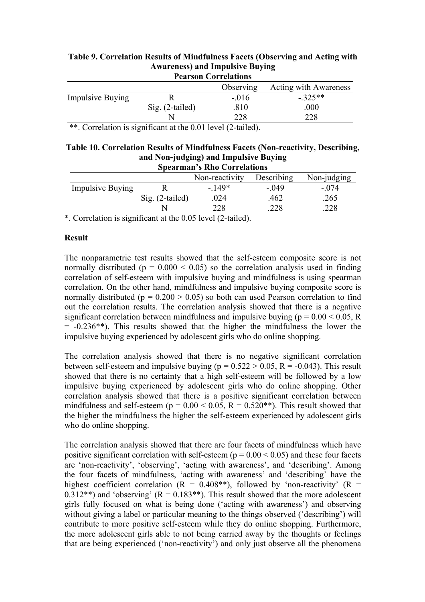| <b>Pearson Correlations</b> |                   |                       |                              |  |
|-----------------------------|-------------------|-----------------------|------------------------------|--|
|                             |                   | Observing             | <b>Acting with Awareness</b> |  |
| <b>Impulsive Buying</b>     |                   | $-.016$               | $-325**$                     |  |
|                             | $Sig. (2-tailed)$ | .810                  | .000                         |  |
|                             |                   | 228                   | 228                          |  |
| $\sim$<br>$\sim$ $\sim$     |                   | $\sim$ 1 $\sim$ 1 1 1 |                              |  |

#### **Table 9. Correlation Results of Mindfulness Facets (Observing and Acting with Awareness) and Impulsive Buying Pearson Correlations**

\*\*. Correlation is significant at the 0.01 level (2-tailed).

#### **Table 10. Correlation Results of Mindfulness Facets (Non-reactivity, Describing, and Non-judging) and Impulsive Buying Spearman's Rho Correlations**

| $\overline{S}$ peal mail $\overline{S}$ Kilo Colleiations |                   |                |            |             |  |
|-----------------------------------------------------------|-------------------|----------------|------------|-------------|--|
|                                                           |                   | Non-reactivity | Describing | Non-judging |  |
| <b>Impulsive Buying</b>                                   |                   | - 149*         | $-049$     | $-074$      |  |
|                                                           | $Sig. (2-tailed)$ | .024           | .462       | 265         |  |
|                                                           |                   | 228            | 228        | 228         |  |

\*. Correlation is significant at the 0.05 level (2-tailed).

# **Result**

The nonparametric test results showed that the self-esteem composite score is not normally distributed ( $p = 0.000 \le 0.05$ ) so the correlation analysis used in finding correlation of self-esteem with impulsive buying and mindfulness is using spearman correlation. On the other hand, mindfulness and impulsive buying composite score is normally distributed ( $p = 0.200 > 0.05$ ) so both can used Pearson correlation to find out the correlation results. The correlation analysis showed that there is a negative significant correlation between mindfulness and impulsive buying ( $p = 0.00 \le 0.05$ , R  $= -0.236**$ ). This results showed that the higher the mindfulness the lower the impulsive buying experienced by adolescent girls who do online shopping.

The correlation analysis showed that there is no negative significant correlation between self-esteem and impulsive buying ( $p = 0.522 > 0.05$ ,  $R = -0.043$ ). This result showed that there is no certainty that a high self-esteem will be followed by a low impulsive buying experienced by adolescent girls who do online shopping. Other correlation analysis showed that there is a positive significant correlation between mindfulness and self-esteem ( $p = 0.00 < 0.05$ ,  $R = 0.520**$ ). This result showed that the higher the mindfulness the higher the self-esteem experienced by adolescent girls who do online shopping.

The correlation analysis showed that there are four facets of mindfulness which have positive significant correlation with self-esteem ( $p = 0.00 \le 0.05$ ) and these four facets are 'non-reactivity', 'observing', 'acting with awareness', and 'describing'. Among the four facets of mindfulness, 'acting with awareness' and 'describing' have the highest coefficient correlation ( $R = 0.408**$ ), followed by 'non-reactivity' ( $R =$ 0.312\*\*) and 'observing'  $(R = 0.183**)$ . This result showed that the more adolescent girls fully focused on what is being done ('acting with awareness') and observing without giving a label or particular meaning to the things observed ('describing') will contribute to more positive self-esteem while they do online shopping. Furthermore, the more adolescent girls able to not being carried away by the thoughts or feelings that are being experienced ('non-reactivity') and only just observe all the phenomena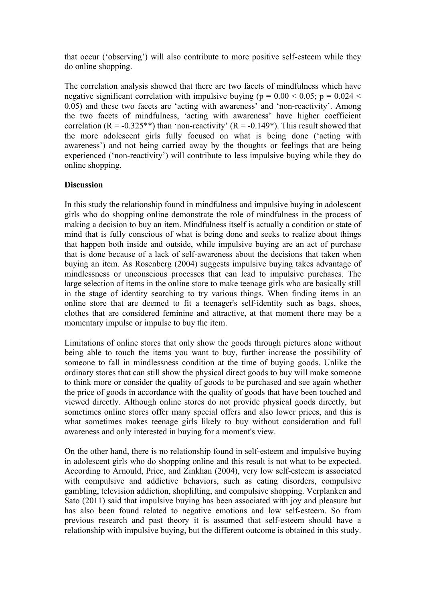that occur ('observing') will also contribute to more positive self-esteem while they do online shopping.

The correlation analysis showed that there are two facets of mindfulness which have negative significant correlation with impulsive buying ( $p = 0.00 < 0.05$ ;  $p = 0.024 <$ 0.05) and these two facets are 'acting with awareness' and 'non-reactivity'. Among the two facets of mindfulness, 'acting with awareness' have higher coefficient correlation ( $R = -0.325**$ ) than 'non-reactivity' ( $R = -0.149*$ ). This result showed that the more adolescent girls fully focused on what is being done ('acting with awareness') and not being carried away by the thoughts or feelings that are being experienced ('non-reactivity') will contribute to less impulsive buying while they do online shopping.

## **Discussion**

In this study the relationship found in mindfulness and impulsive buying in adolescent girls who do shopping online demonstrate the role of mindfulness in the process of making a decision to buy an item. Mindfulness itself is actually a condition or state of mind that is fully conscious of what is being done and seeks to realize about things that happen both inside and outside, while impulsive buying are an act of purchase that is done because of a lack of self-awareness about the decisions that taken when buying an item. As Rosenberg (2004) suggests impulsive buying takes advantage of mindlessness or unconscious processes that can lead to impulsive purchases. The large selection of items in the online store to make teenage girls who are basically still in the stage of identity searching to try various things. When finding items in an online store that are deemed to fit a teenager's self-identity such as bags, shoes, clothes that are considered feminine and attractive, at that moment there may be a momentary impulse or impulse to buy the item.

Limitations of online stores that only show the goods through pictures alone without being able to touch the items you want to buy, further increase the possibility of someone to fall in mindlessness condition at the time of buying goods. Unlike the ordinary stores that can still show the physical direct goods to buy will make someone to think more or consider the quality of goods to be purchased and see again whether the price of goods in accordance with the quality of goods that have been touched and viewed directly. Although online stores do not provide physical goods directly, but sometimes online stores offer many special offers and also lower prices, and this is what sometimes makes teenage girls likely to buy without consideration and full awareness and only interested in buying for a moment's view.

On the other hand, there is no relationship found in self-esteem and impulsive buying in adolescent girls who do shopping online and this result is not what to be expected. According to Arnould, Price, and Zinkhan (2004), very low self-esteem is associated with compulsive and addictive behaviors, such as eating disorders, compulsive gambling, television addiction, shoplifting, and compulsive shopping. Verplanken and Sato (2011) said that impulsive buying has been associated with joy and pleasure but has also been found related to negative emotions and low self-esteem. So from previous research and past theory it is assumed that self-esteem should have a relationship with impulsive buying, but the different outcome is obtained in this study.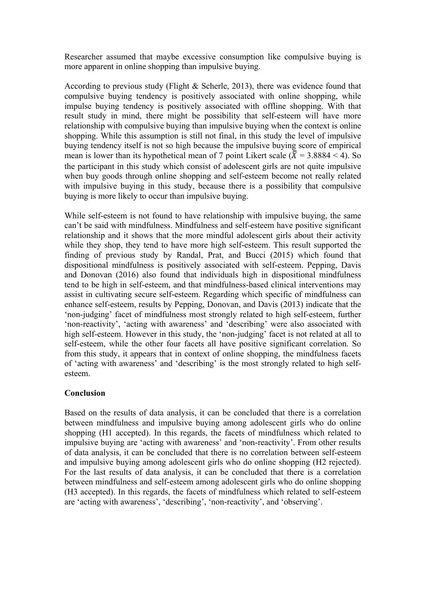Researcher assumed that maybe excessive consumption like compulsive buying is more apparent in online shopping than impulsive buying.

According to previous study (Flight & Scherle, 2013), there was evidence found that compulsive buying tendency is positively associated with online shopping, while impulse buying tendency is positively associated with offline shopping. With that result study in mind, there might be possibility that self-esteem will have more relationship with compulsive buying than impulsive buying when the context is online shopping. While this assumption is still not final, in this study the level of impulsive buying tendency itself is not so high because the impulsive buying score of empirical mean is lower than its hypothetical mean of 7 point Likert scale ( $\overline{\lambda}$  = 3.8884 < 4). So the participant in this study which consist of adolescent girls are not quite impulsive when buy goods through online shopping and self-esteem become not really related with impulsive buying in this study, because there is a possibility that compulsive buying is more likely to occur than impulsive buying.

While self-esteem is not found to have relationship with impulsive buying, the same can't be said with mindfulness. Mindfulness and self-esteem have positive significant relationship and it shows that the more mindful adolescent girls about their activity while they shop, they tend to have more high self-esteem. This result supported the finding of previous study by Randal, Prat, and Bucci (2015) which found that dispositional mindfulness is positively associated with self-esteem. Pepping, Davis and Donovan (2016) also found that individuals high in dispositional mindfulness tend to be high in self-esteem, and that mindfulness-based clinical interventions may assist in cultivating secure self-esteem. Regarding which specific of mindfulness can enhance self-esteem, results by Pepping, Donovan, and Davis (2013) indicate that the 'non-judging' facet of mindfulness most strongly related to high self-esteem, further 'non-reactivity', 'acting with awareness' and 'describing' were also associated with high self-esteem. However in this study, the 'non-judging' facet is not related at all to self-esteem, while the other four facets all have positive significant correlation. So from this study, it appears that in context of online shopping, the mindfulness facets of 'acting with awareness' and 'describing' is the most strongly related to high selfesteem.

# **Conclusion**

Based on the results of data analysis, it can be concluded that there is a correlation between mindfulness and impulsive buying among adolescent girls who do online shopping (H1 accepted). In this regards, the facets of mindfulness which related to impulsive buying are 'acting with awareness' and 'non-reactivity'. From other results of data analysis, it can be concluded that there is no correlation between self-esteem and impulsive buying among adolescent girls who do online shopping (H2 rejected). For the last results of data analysis, it can be concluded that there is a correlation between mindfulness and self-esteem among adolescent girls who do online shopping (H3 accepted). In this regards, the facets of mindfulness which related to self-esteem are 'acting with awareness', 'describing', 'non-reactivity', and 'observing'.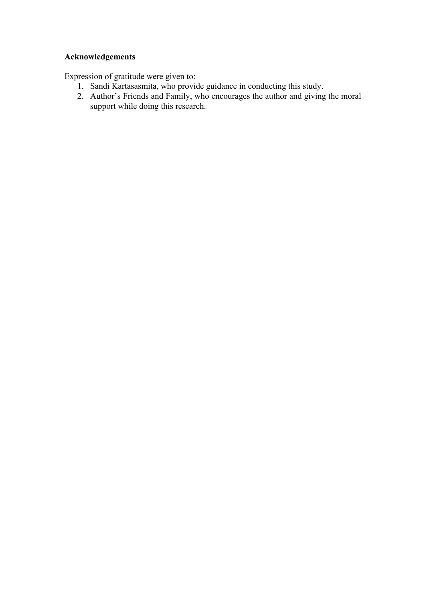# **Acknowledgements**

Expression of gratitude were given to:

- 1. Sandi Kartasasmita, who provide guidance in conducting this study.
- 2. Author's Friends and Family, who encourages the author and giving the moral support while doing this research.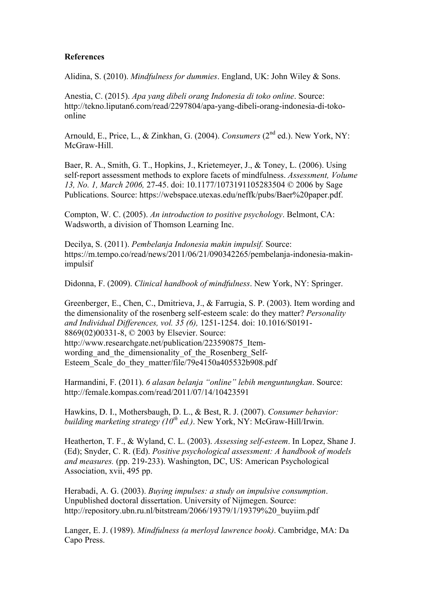## **References**

Alidina, S. (2010). *Mindfulness for dummies*. England, UK: John Wiley & Sons.

Anestia, C. (2015). *Apa yang dibeli orang Indonesia di toko online*. Source: http://tekno.liputan6.com/read/2297804/apa-yang-dibeli-orang-indonesia-di-tokoonline

Arnould, E., Price, L., & Zinkhan, G. (2004). *Consumers* (2<sup>nd</sup> ed.). New York, NY: McGraw-Hill.

Baer, R. A., Smith, G. T., Hopkins, J., Krietemeyer, J., & Toney, L. (2006). Using self-report assessment methods to explore facets of mindfulness. *Assessment, Volume 13, No. 1, March 2006,* 27-45. doi: 10.1177/1073191105283504 © 2006 by Sage Publications. Source: https://webspace.utexas.edu/neffk/pubs/Baer%20paper.pdf.

Compton, W. C. (2005). *An introduction to positive psychology*. Belmont, CA: Wadsworth, a division of Thomson Learning Inc.

Decilya, S. (2011). *Pembelanja Indonesia makin impulsif.* Source: https://m.tempo.co/read/news/2011/06/21/090342265/pembelanja-indonesia-makinimpulsif

Didonna, F. (2009). *Clinical handbook of mindfulness*. New York, NY: Springer.

Greenberger, E., Chen, C., Dmitrieva, J., & Farrugia, S. P. (2003). Item wording and the dimensionality of the rosenberg self-esteem scale: do they matter? *Personality and Individual Differences, vol. 35 (6),* 1251-1254. doi: 10.1016/S0191- 8869(02)00331-8, © 2003 by Elsevier. Source: http://www.researchgate.net/publication/223590875\_Itemwording and the dimensionality of the Rosenberg Self-Esteem\_Scale\_do\_they\_matter/file/79e4150a405532b908.pdf

Harmandini, F. (2011). *6 alasan belanja "online" lebih menguntungkan*. Source: http://female.kompas.com/read/2011/07/14/10423591

Hawkins, D. I., Mothersbaugh, D. L., & Best, R. J. (2007). *Consumer behavior: building marketing strategy (10th ed.)*. New York, NY: McGraw-Hill/Irwin.

Heatherton, T. F., & Wyland, C. L. (2003). *Assessing self-esteem*. In Lopez, Shane J. (Ed); Snyder, C. R. (Ed). *Positive psychological assessment: A handbook of models and measures.* (pp. 219-233). Washington, DC, US: American Psychological Association, xvii, 495 pp.

Herabadi, A. G. (2003). *Buying impulses: a study on impulsive consumption*. Unpublished doctoral dissertation. University of Nijmegen. Source: http://repository.ubn.ru.nl/bitstream/2066/19379/1/19379%20\_buyiim.pdf

Langer, E. J. (1989). *Mindfulness (a merloyd lawrence book)*. Cambridge, MA: Da Capo Press.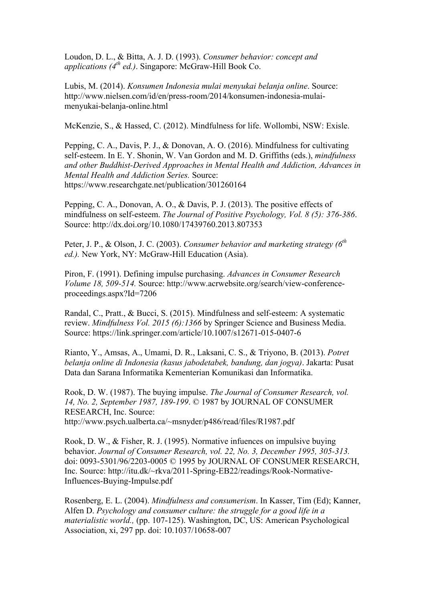Loudon, D. L., & Bitta, A. J. D. (1993). *Consumer behavior: concept and applications (4th ed.)*. Singapore: McGraw-Hill Book Co.

Lubis, M. (2014). *Konsumen Indonesia mulai menyukai belanja online*. Source: http://www.nielsen.com/id/en/press-room/2014/konsumen-indonesia-mulaimenyukai-belanja-online.html

McKenzie, S., & Hassed, C. (2012). Mindfulness for life. Wollombi, NSW: Exisle.

Pepping, C. A., Davis, P. J., & Donovan, A. O. (2016). Mindfulness for cultivating self-esteem. In E. Y. Shonin, W. Van Gordon and M. D. Griffiths (eds.), *mindfulness and other Buddhist-Derived Approaches in Mental Health and Addiction, Advances in Mental Health and Addiction Series.* Source: https://www.researchgate.net/publication/301260164

Pepping, C. A., Donovan, A. O., & Davis, P. J. (2013). The positive effects of mindfulness on self-esteem. *The Journal of Positive Psychology, Vol. 8 (5): 376-386*. Source: http://dx.doi.org/10.1080/17439760.2013.807353

Peter, J. P., & Olson, J. C. (2003). *Consumer behavior and marketing strategy (6th ed.).* New York, NY: McGraw-Hill Education (Asia).

Piron, F. (1991). Defining impulse purchasing. *Advances in Consumer Research Volume 18, 509-514.* Source: http://www.acrwebsite.org/search/view-conferenceproceedings.aspx?Id=7206

Randal, C., Pratt., & Bucci, S. (2015). Mindfulness and self-esteem: A systematic review. *Mindfulness Vol. 2015 (6):1366* by Springer Science and Business Media. Source: https://link.springer.com/article/10.1007/s12671-015-0407-6

Rianto, Y., Amsas, A., Umami, D. R., Laksani, C. S., & Triyono, B. (2013). *Potret belanja online di Indonesia (kasus jabodetabek, bandung, dan jogya)*. Jakarta: Pusat Data dan Sarana Informatika Kementerian Komunikasi dan Informatika.

Rook, D. W. (1987). The buying impulse. *The Journal of Consumer Research, vol. 14, No. 2, September 1987, 189-199*. © 1987 by JOURNAL OF CONSUMER RESEARCH, Inc. Source: http://www.psych.ualberta.ca/~msnyder/p486/read/files/R1987.pdf

Rook, D. W., & Fisher, R. J. (1995). Normative infuences on impulsive buying behavior. *Journal of Consumer Research, vol. 22, No. 3, December 1995, 305-313.* doi: 0093-5301/96/2203-0005 © 1995 by JOURNAL OF CONSUMER RESEARCH, Inc. Source: http://itu.dk/~rkva/2011-Spring-EB22/readings/Rook-Normative-Influences-Buying-Impulse.pdf

Rosenberg, E. L. (2004). *Mindfulness and consumerism*. In Kasser, Tim (Ed); Kanner, Alfen D. *Psychology and consumer culture: the struggle for a good life in a materialistic world.,* (pp. 107-125). Washington, DC, US: American Psychological Association, xi, 297 pp. doi: 10.1037/10658-007